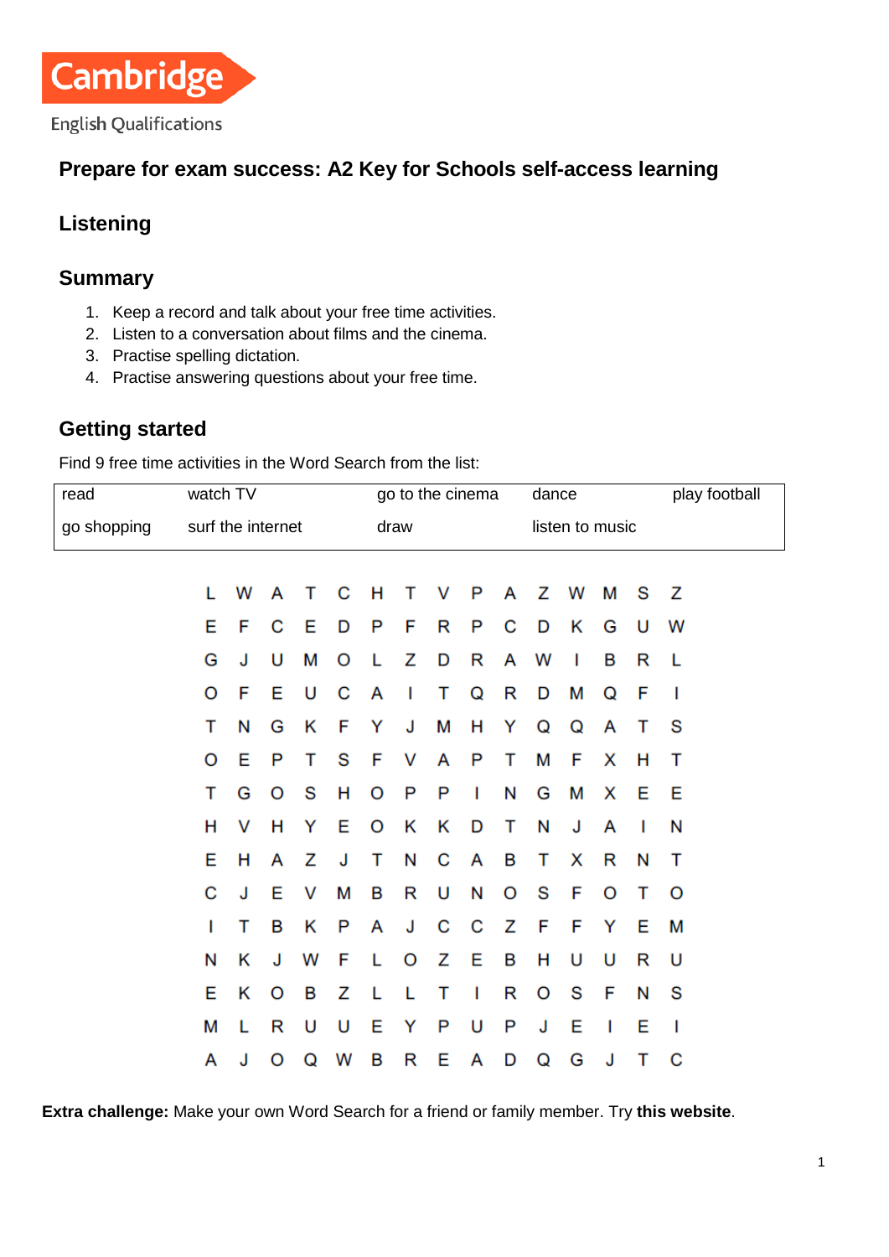

### **Prepare for exam success: A2 Key for Schools self-access learning**

## **Listening**

### **Summary**

- 1. Keep a record and talk about your free time activities.
- 2. Listen to a conversation about films and the cinema.
- 3. Practise spelling dictation.
- 4. Practise answering questions about your free time.

### **Getting started**

Find 9 free time activities in the Word Search from the list:

| read        | watch TV          |   | go to the cinema |   |   |      |   | dance |   |   |                 | play football |   |   |   |
|-------------|-------------------|---|------------------|---|---|------|---|-------|---|---|-----------------|---------------|---|---|---|
| go shopping | surf the internet |   |                  |   |   | draw |   |       |   |   | listen to music |               |   |   |   |
|             |                   |   |                  |   |   |      |   |       |   |   |                 |               |   |   |   |
|             | L                 | W | A                | т | C | н    | т | v     | P | A | z               | W             | M | S | z |
|             | E                 | F | С                | Е | D | P    | F | R     | P | С | D               | κ             | G | U | W |
|             | G                 | J | U                | М | O | L    | z | D     | R | A | W               | I             | в | R | L |
|             | O                 | F | E                | U | C | A    | Т | т     | Q | R | D               | М             | Q | F | I |
|             | т                 | N | G                | Κ | F | Y    | J | М     | н | Y | Q               | Q             | A | т | S |
|             | O                 | Е | P                | т | S | F    | v | A     | P | т | М               | F             | x | н | т |
|             | Т                 | G | O                | S | н | O    | P | P     | L | N | G               | М             | X | Е | E |
|             | н                 | v | н                | Υ | E | O    | κ | κ     | D | т | N               | J             | A | I | N |
|             | E                 | н | A                | z | J | т    | N | С     | A | B | т               | X             | R | N | т |
|             | С                 | J | Е                | V | М | в    | R | U     | N | O | S               | F             | O | т | O |
|             | I                 | т | B                | Κ | P | A    | J | C     | С | Ζ | F               | F             | Y | E | М |
|             | N                 | Κ | J                | W | F | L    | O | Ζ     | Е | B | н               | U             | U | R | U |
|             | E                 | Κ | O                | в | z | L    | L | т     | T | R | O               | S             | F | N | S |
|             | М                 | L | R                | U | U | Е    | Y | P     | U | P | J               | E             | I | E | I |
|             | A                 | J | O                | Q | W | B    | R | Е     | A | D | Q               | G             | J | т | С |

**Extra challenge:** Make your own Word Search for a friend or family member. Try **[this website](https://worksheets.theteacherscorner.net/make-your-own/word-search/)**.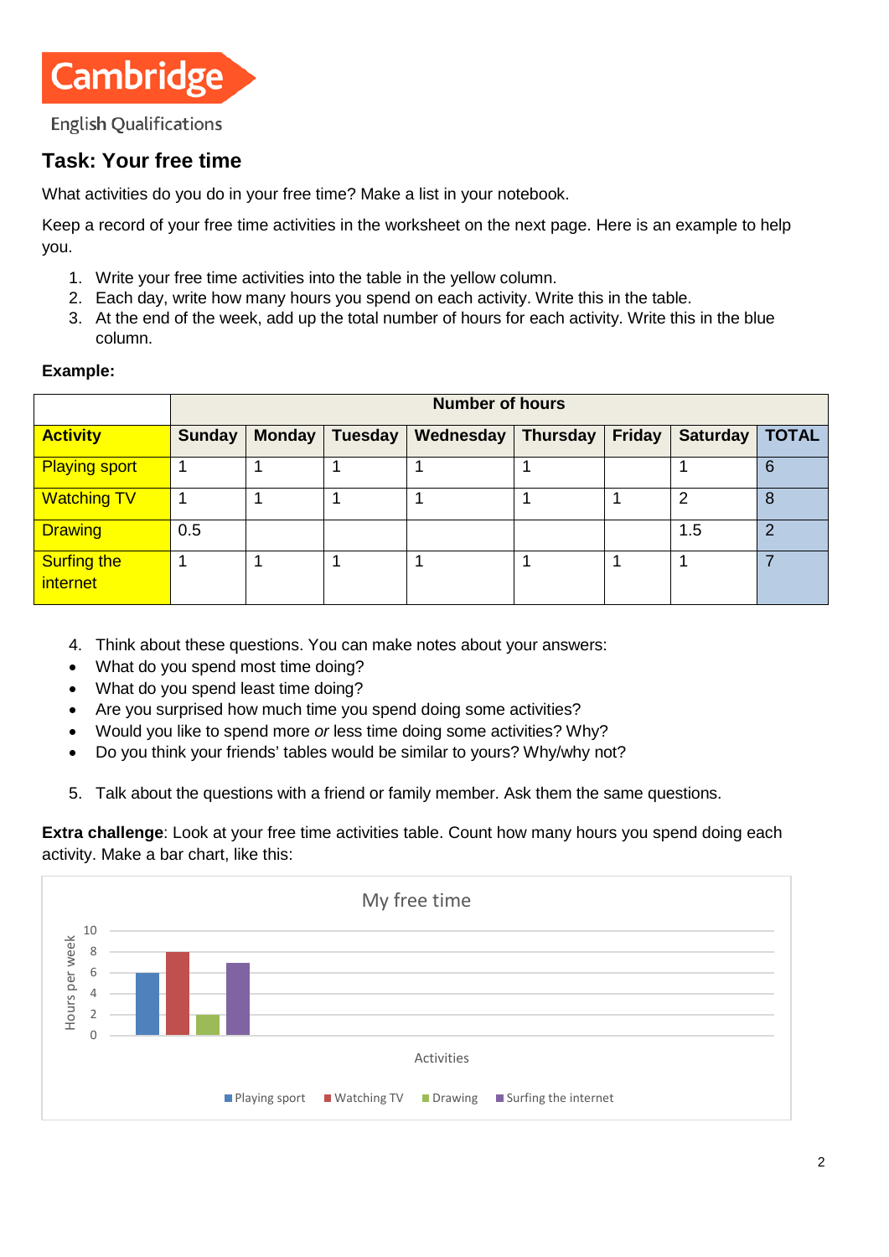

### **Task: Your free time**

What activities do you do in your free time? Make a list in your notebook.

Keep a record of your free time activities in the worksheet on the next page. Here is an example to help you.

- 1. Write your free time activities into the table in the yellow column.
- 2. Each day, write how many hours you spend on each activity. Write this in the table.
- 3. At the end of the week, add up the total number of hours for each activity. Write this in the blue column.

#### **Example:**

|                                       | <b>Number of hours</b> |               |         |                  |          |               |                 |              |  |  |  |
|---------------------------------------|------------------------|---------------|---------|------------------|----------|---------------|-----------------|--------------|--|--|--|
| <b>Activity</b>                       | <b>Sunday</b>          | <b>Monday</b> | Tuesday | <b>Wednesday</b> | Thursday | <b>Friday</b> | <b>Saturday</b> | <b>TOTAL</b> |  |  |  |
| <b>Playing sport</b>                  |                        |               |         |                  |          |               |                 | b            |  |  |  |
| <b>Watching TV</b>                    |                        |               |         |                  |          |               | っ               | 8            |  |  |  |
| <b>Drawing</b>                        | 0.5                    |               |         |                  |          |               | 1.5             | າ            |  |  |  |
| <b>Surfing the</b><br><i>internet</i> |                        |               |         |                  |          |               |                 |              |  |  |  |

- 4. Think about these questions. You can make notes about your answers:
- What do you spend most time doing?
- What do you spend least time doing?
- Are you surprised how much time you spend doing some activities?
- Would you like to spend more *or* less time doing some activities? Why?
- Do you think your friends' tables would be similar to yours? Why/why not?
- 5. Talk about the questions with a friend or family member. Ask them the same questions.

**Extra challenge**: Look at your free time activities table. Count how many hours you spend doing each activity. Make a bar chart, like this:

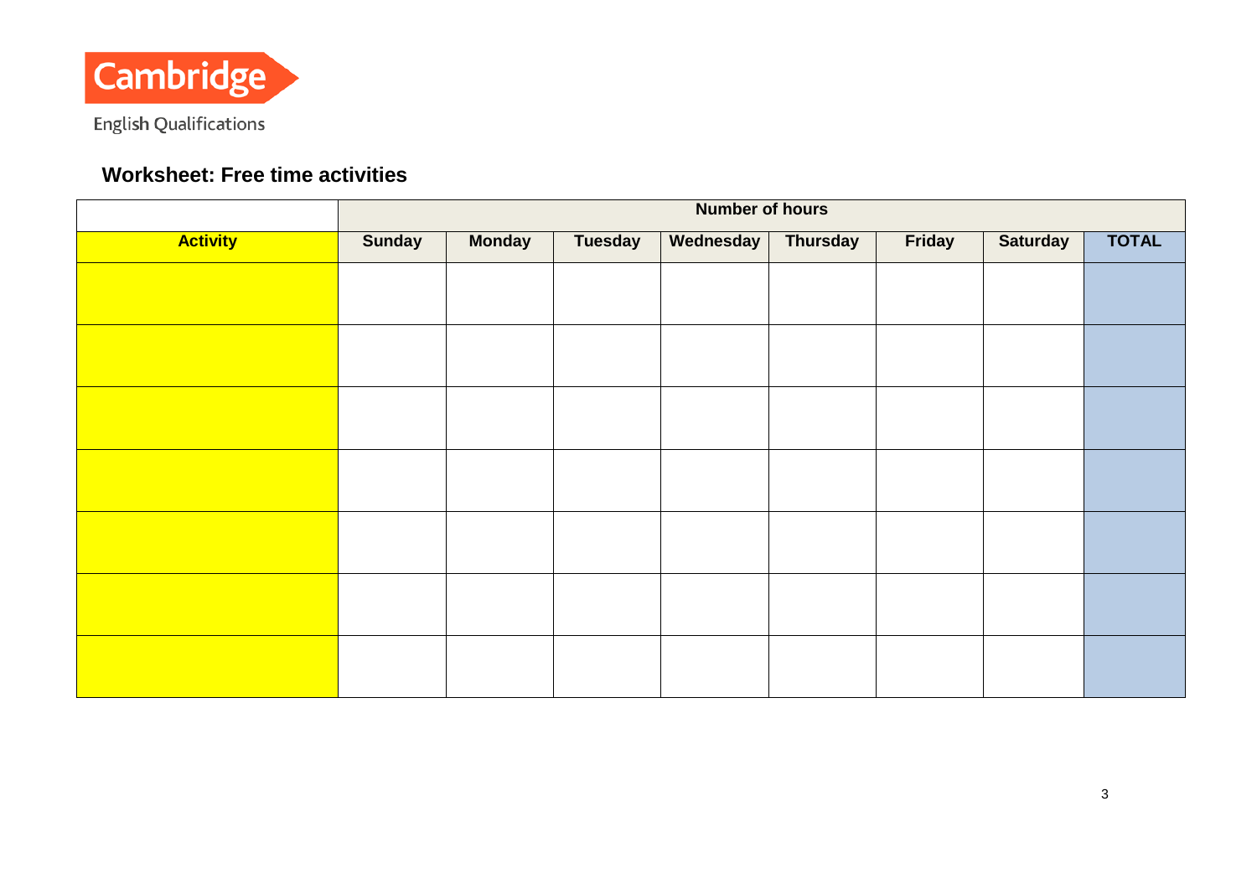

# **Worksheet: Free time activities**

|                 | <b>Number of hours</b> |               |                |                  |                 |        |                 |              |  |  |  |
|-----------------|------------------------|---------------|----------------|------------------|-----------------|--------|-----------------|--------------|--|--|--|
| <b>Activity</b> | <b>Sunday</b>          | <b>Monday</b> | <b>Tuesday</b> | <b>Wednesday</b> | <b>Thursday</b> | Friday | <b>Saturday</b> | <b>TOTAL</b> |  |  |  |
|                 |                        |               |                |                  |                 |        |                 |              |  |  |  |
|                 |                        |               |                |                  |                 |        |                 |              |  |  |  |
|                 |                        |               |                |                  |                 |        |                 |              |  |  |  |
|                 |                        |               |                |                  |                 |        |                 |              |  |  |  |
|                 |                        |               |                |                  |                 |        |                 |              |  |  |  |
|                 |                        |               |                |                  |                 |        |                 |              |  |  |  |
|                 |                        |               |                |                  |                 |        |                 |              |  |  |  |
|                 |                        |               |                |                  |                 |        |                 |              |  |  |  |
|                 |                        |               |                |                  |                 |        |                 |              |  |  |  |
|                 |                        |               |                |                  |                 |        |                 |              |  |  |  |
|                 |                        |               |                |                  |                 |        |                 |              |  |  |  |
|                 |                        |               |                |                  |                 |        |                 |              |  |  |  |
|                 |                        |               |                |                  |                 |        |                 |              |  |  |  |
|                 |                        |               |                |                  |                 |        |                 |              |  |  |  |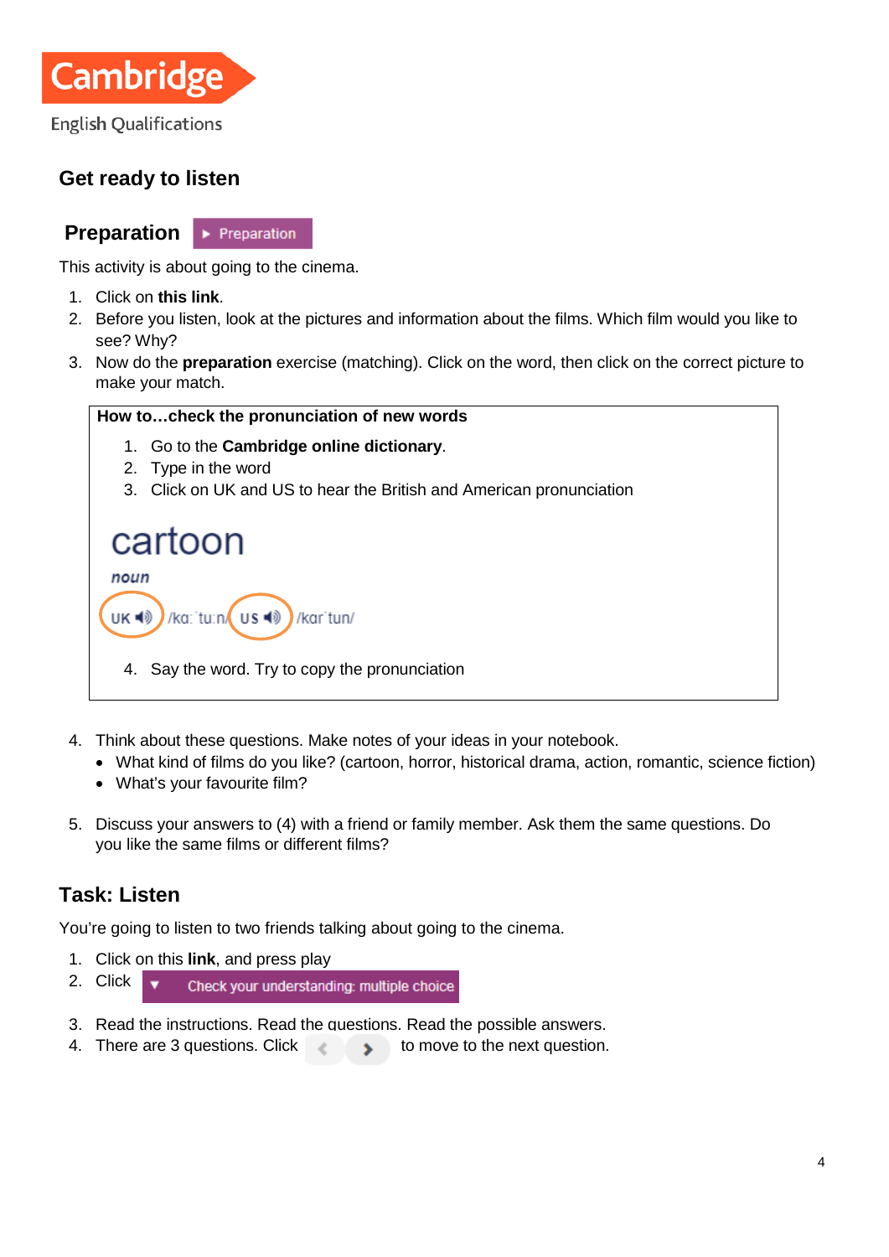

# **Get ready to listen**

**Preparation**  $\blacktriangleright$  Preparation

This activity is about going to the cinema.

- 1. Click on **[this link](https://learnenglishteens.britishcouncil.org/skills/listening/elementary-a2-listening/going-cinema)**.
- 2. Before you listen, look at the pictures and information about the films. Which film would you like to see? Why?
- 3. Now do the **preparation** exercise (matching). Click on the word, then click on the correct picture to make your match.

#### **How to…check the pronunciation of new words**

- 1. Go to the **[Cambridge online dictionary](https://dictionary.cambridge.org/)**.
- 2. Type in the word
- 3. Click on UK and US to hear the British and American pronunciation

### cartoon noun UK ■ /ka: tu:n Us ( /kar'tun/

- 4. Say the word. Try to copy the pronunciation
- 4. Think about these questions. Make notes of your ideas in your notebook.
	- What kind of films do you like? (cartoon, horror, historical drama, action, romantic, science fiction)
	- What's your favourite film?
- 5. Discuss your answers to (4) with a friend or family member. Ask them the same questions. Do you like the same films or different films?

### **Task: Listen**

You're going to listen to two friends talking about going to the cinema.

- 1. Click on this **[link](https://learnenglishteens.britishcouncil.org/skills/listening/elementary-a2-listening/going-cinema)**, and press play
- 2. Click  $\overline{\phantom{a}}$ Check your understanding: multiple choice
- 3. Read the instructions. Read the questions. Read the possible answers.
- 4. There are 3 questions. Click the move to the next question.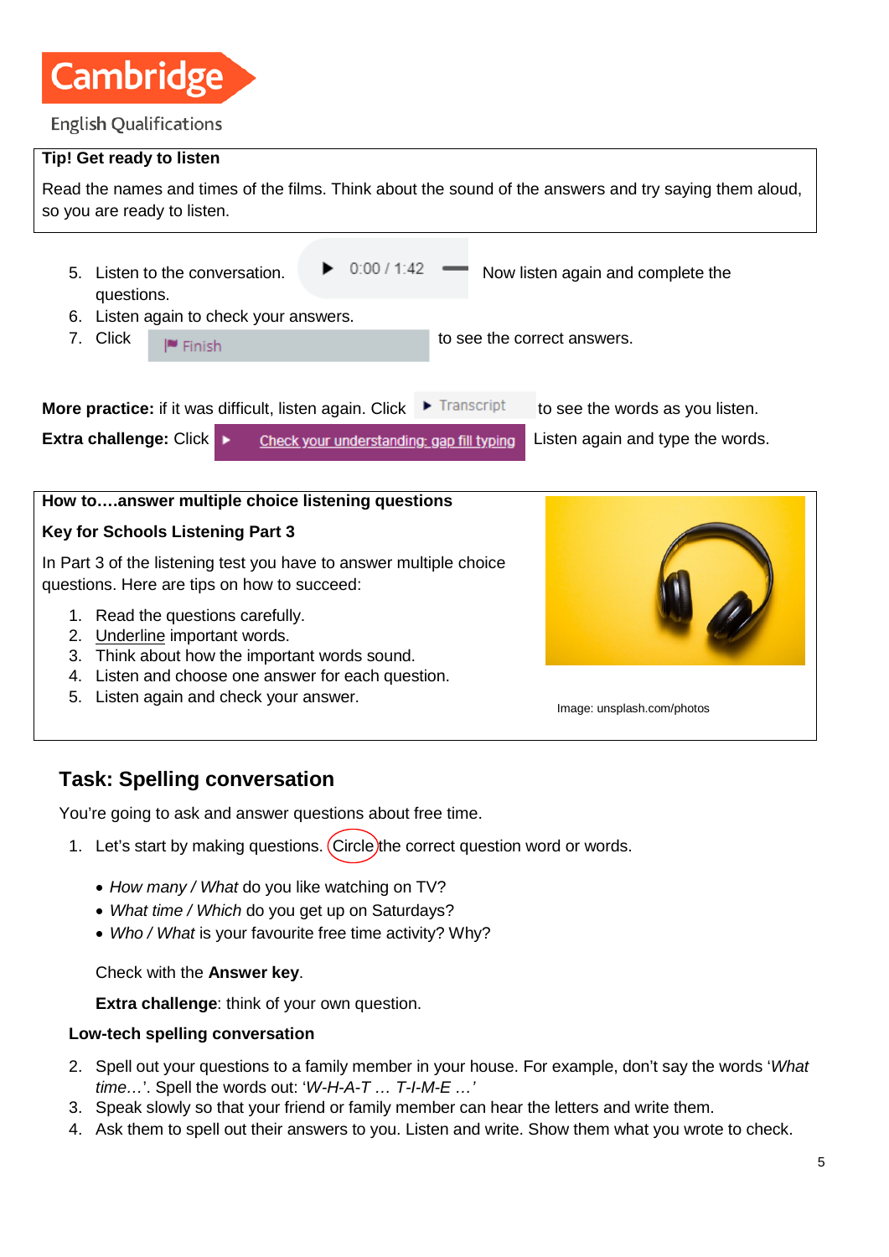

# **Tip! Get ready to listen** Read the names and times of the films. Think about the sound of the answers and try saying them aloud, so you are ready to listen. 5. Listen to the conversation.  $\blacktriangleright$  0.00 / 1.42  $\blacktriangleright$  Now listen again and complete the questions. 6. Listen again to check your answers. 7. Click  $\Box$  Finish  $\Box$  Finish  $\Box$  to see the correct answers. **More practice:** if it was difficult, listen again. Click  $\blacktriangleright$  Transcript to see the words as you listen. **Extra challenge:** Click  $\rightarrow$  Check your understanding: gap fill typing Listen again and type the words. **How to….answer multiple choice listening questions Key for Schools Listening Part 3** In Part 3 of the listening test you have to answer multiple choice questions. Here are tips on how to succeed: 1. Read the questions carefully.

- 2. Underline important words.
- 3. Think about how the important words sound.
- 4. Listen and choose one answer for each question.
- 5. Listen again and check your answer.



Image: unsplash.com/photos

### **Task: Spelling conversation**

You're going to ask and answer questions about free time.

- 1. Let's start by making questions. Circle the correct question word or words.
	- *How many / What* do you like watching on TV?
	- *What time / Which* do you get up on Saturdays?
	- *Who / What* is your favourite free time activity? Why?

Check with the **Answer key**.

**Extra challenge**: think of your own question.

#### **Low-tech spelling conversation**

- 2. Spell out your questions to a family member in your house. For example, don't say the words '*What time…*'. Spell the words out: '*W-H-A-T … T-I-M-E …'*
- 3. Speak slowly so that your friend or family member can hear the letters and write them.
- 4. Ask them to spell out their answers to you. Listen and write. Show them what you wrote to check.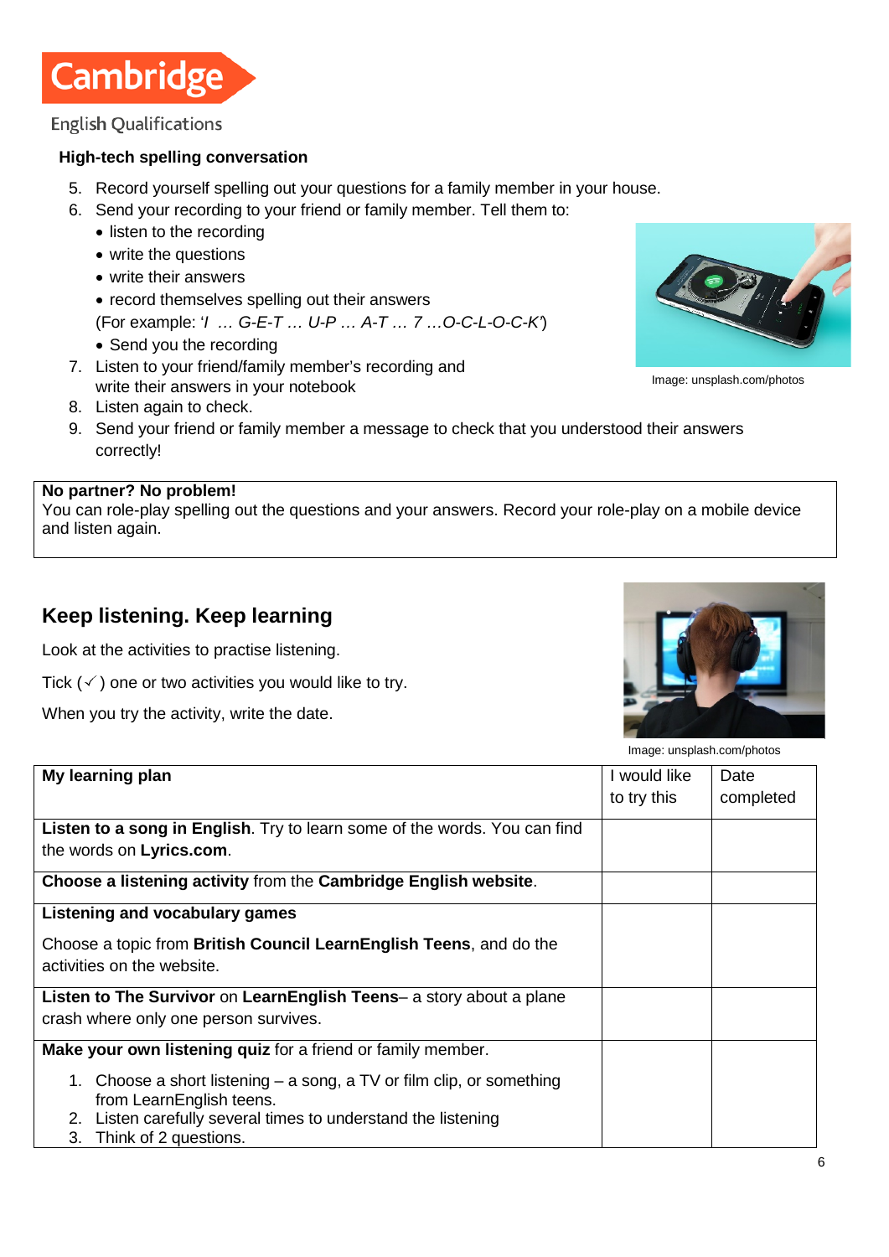

#### **High-tech spelling conversation**

- 5. Record yourself spelling out your questions for a family member in your house.
- 6. Send your recording to your friend or family member. Tell them to:
	- listen to the recording
	- write the questions
	- write their answers
	- record themselves spelling out their answers
	- (For example: '*I … G-E-T … U-P … A-T … 7 …O-C-L-O-C-K'*)
	- Send you the recording
- 7. Listen to your friend/family member's recording and write their answers in your notebook
- 8. Listen again to check.



#### **No partner? No problem!**

You can role-play spelling out the questions and your answers. Record your role-play on a mobile device and listen again.

### **Keep listening. Keep learning**

Look at the activities to practise listening.

Tick  $(\checkmark)$  one or two activities you would like to try.

When you try the activity, write the date.



Image: unsplash.com/photos

Image: unsplash.com/photos

| My learning plan                                                                                                                                                                                  | I would like<br>to try this | Date<br>completed |
|---------------------------------------------------------------------------------------------------------------------------------------------------------------------------------------------------|-----------------------------|-------------------|
| Listen to a song in English. Try to learn some of the words. You can find<br>the words on Lyrics.com.                                                                                             |                             |                   |
| Choose a listening activity from the Cambridge English website.                                                                                                                                   |                             |                   |
| Listening and vocabulary games                                                                                                                                                                    |                             |                   |
| Choose a topic from British Council LearnEnglish Teens, and do the<br>activities on the website.                                                                                                  |                             |                   |
| Listen to The Survivor on LearnEnglish Teens- a story about a plane<br>crash where only one person survives.                                                                                      |                             |                   |
| Make your own listening quiz for a friend or family member.                                                                                                                                       |                             |                   |
| 1. Choose a short listening – a song, a TV or film clip, or something<br>from LearnEnglish teens.<br>2. Listen carefully several times to understand the listening<br>Think of 2 questions.<br>3. |                             |                   |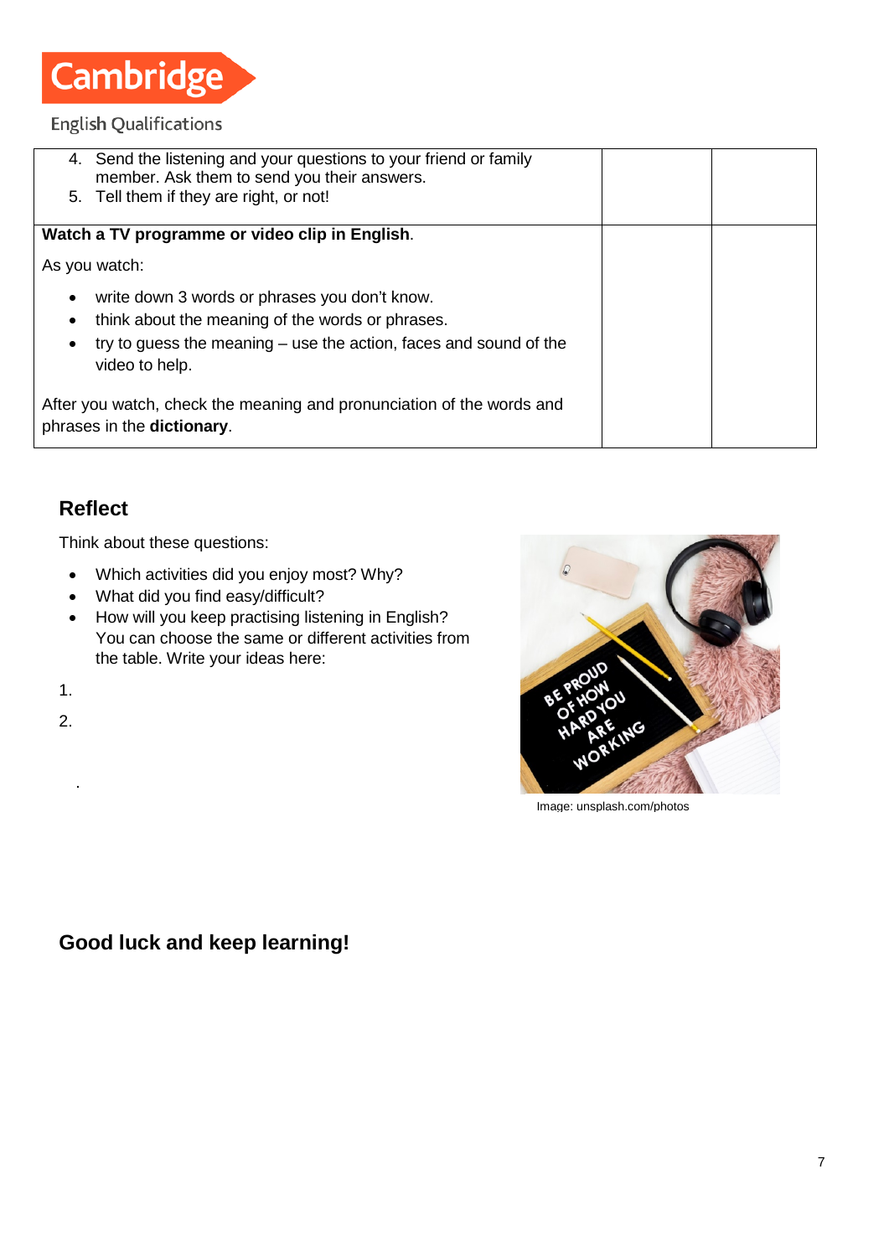

| write down 3 words or phrases you don't know. |                                                                                                                                                                                                                                                                                                                                                                                                                                                                                          |  |
|-----------------------------------------------|------------------------------------------------------------------------------------------------------------------------------------------------------------------------------------------------------------------------------------------------------------------------------------------------------------------------------------------------------------------------------------------------------------------------------------------------------------------------------------------|--|
|                                               |                                                                                                                                                                                                                                                                                                                                                                                                                                                                                          |  |
|                                               |                                                                                                                                                                                                                                                                                                                                                                                                                                                                                          |  |
|                                               |                                                                                                                                                                                                                                                                                                                                                                                                                                                                                          |  |
|                                               |                                                                                                                                                                                                                                                                                                                                                                                                                                                                                          |  |
|                                               |                                                                                                                                                                                                                                                                                                                                                                                                                                                                                          |  |
|                                               | 4. Send the listening and your questions to your friend or family<br>member. Ask them to send you their answers.<br>5. Tell them if they are right, or not!<br>Watch a TV programme or video clip in English.<br>As you watch:<br>think about the meaning of the words or phrases.<br>try to guess the meaning – use the action, faces and sound of the<br>video to help.<br>After you watch, check the meaning and pronunciation of the words and<br>phrases in the <b>dictionary</b> . |  |

### **Reflect**

Think about these questions:

- Which activities did you enjoy most? Why?
- What did you find easy/difficult?
- How will you keep practising listening in English? You can choose the same or different activities from the table. Write your ideas here:

1.

2.

.



Image: unsplash.com/photos

# **Good luck and keep learning!**